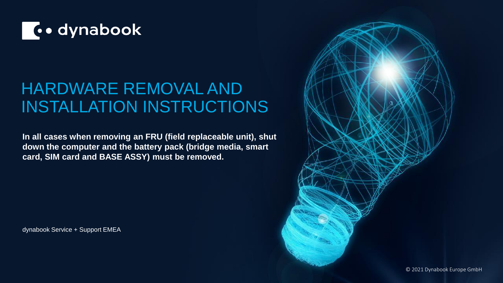

### HARDWARE REMOVAL AND INSTALLATION INSTRUCTIONS

**In all cases when removing an FRU (field replaceable unit), shut down the computer and the battery pack (bridge media, smart card, SIM card and BASE ASSY) must be removed.** 

dynabook Service + Support EMEA

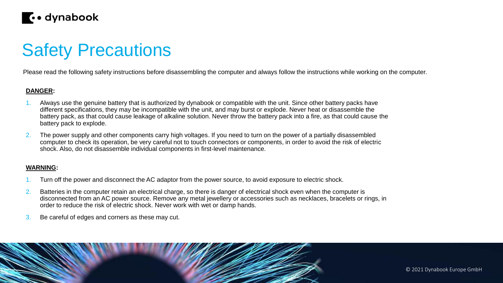

## Safety Precautions

Please read the following safety instructions before disassembling the computer and always follow the instructions while working on the computer.

#### **DANGER:**

- 1. Always use the genuine battery that is authorized by dynabook or compatible with the unit. Since other battery packs have different specifications, they may be incompatible with the unit, and may burst or explode. Never heat or disassemble the battery pack, as that could cause leakage of alkaline solution. Never throw the battery pack into a fire, as that could cause the battery pack to explode.
- 2. The power supply and other components carry high voltages. If you need to turn on the power of a partially disassembled computer to check its operation, be very careful not to touch connectors or components, in order to avoid the risk of electric shock. Also, do not disassemble individual components in first-level maintenance.

#### **WARNING:**

- Turn off the power and disconnect the AC adaptor from the power source, to avoid exposure to electric shock.
- 2. Batteries in the computer retain an electrical charge, so there is danger of electrical shock even when the computer is disconnected from an AC power source. Remove any metal jewellery or accessories such as necklaces, bracelets or rings, in order to reduce the risk of electric shock. Never work with wet or damp hands.
- 3. Be careful of edges and corners as these may cut.

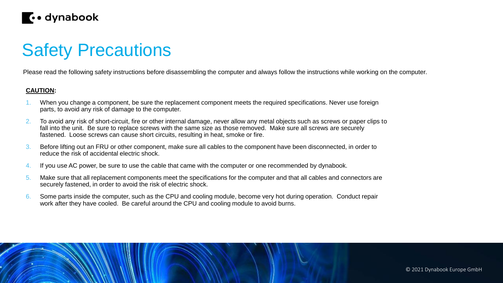

### Safety Precautions

Please read the following safety instructions before disassembling the computer and always follow the instructions while working on the computer.

#### **CAUTION:**

- When you change a component, be sure the replacement component meets the required specifications. Never use foreign parts, to avoid any risk of damage to the computer.
- 2. To avoid any risk of short-circuit, fire or other internal damage, never allow any metal objects such as screws or paper clips to fall into the unit. Be sure to replace screws with the same size as those removed. Make sure all screws are securely fastened. Loose screws can cause short circuits, resulting in heat, smoke or fire.
- 3. Before lifting out an FRU or other component, make sure all cables to the component have been disconnected, in order to reduce the risk of accidental electric shock.
- 4. If you use AC power, be sure to use the cable that came with the computer or one recommended by dynabook.
- 5. Make sure that all replacement components meet the specifications for the computer and that all cables and connectors are securely fastened, in order to avoid the risk of electric shock.
- 6. Some parts inside the computer, such as the CPU and cooling module, become very hot during operation. Conduct repair work after they have cooled. Be careful around the CPU and cooling module to avoid burns.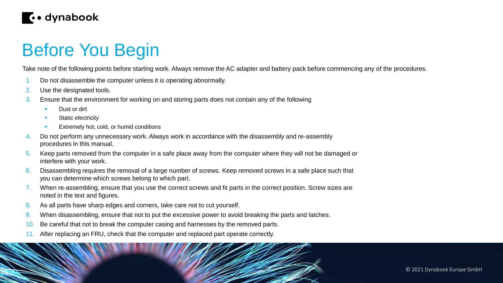

### Before You Begin

Take note of the following points before starting work. Always remove the AC adapter and battery pack before commencing any of the procedures.

- 1. Do not disassemble the computer unless it is operating abnormally.
- 2. Use the designated tools.
- 3. Ensure that the environment for working on and storing parts does not contain any of the following
	- Dust or dirt
	- Static electricity
	- Extremely hot, cold, or humid conditions
- 4. Do not perform any unnecessary work. Always work in accordance with the disassembly and re-assembly procedures in this manual.
- 5. Keep parts removed from the computer in a safe place away from the computer where they will not be damaged or interfere with your work.
- 6. Disassembling requires the removal of a large number of screws. Keep removed screws in a safe place such that you can determine which screws belong to which part.
- When re-assembling, ensure that you use the correct screws and fit parts in the correct position. Screw sizes are noted in the text and figures.
- 8. As all parts have sharp edges and corners, take care not to cut yourself.
- 9. When disassembling, ensure that not to put the excessive power to avoid breaking the parts and latches.
- 10. Be careful that not to break the computer casing and harnesses by the removed parts.
- 11. After replacing an FRU, check that the computer and replaced part operate correctly.



© 2021 Dynabook Europe GmbH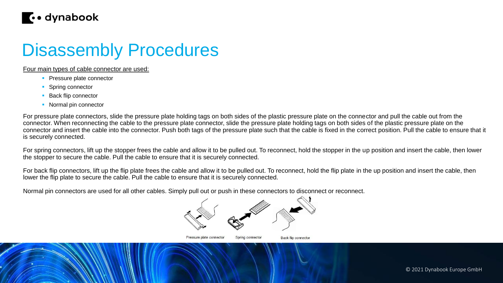

### Disassembly Procedures

Four main types of cable connector are used:

- **Pressure plate connector**
- **Spring connector**
- **Back flip connector**
- Normal pin connector

For pressure plate connectors, slide the pressure plate holding tags on both sides of the plastic pressure plate on the connector and pull the cable out from the connector. When reconnecting the cable to the pressure plate connector, slide the pressure plate holding tags on both sides of the plastic pressure plate on the connector and insert the cable into the connector. Push both tags of the pressure plate such that the cable is fixed in the correct position. Pull the cable to ensure that it is securely connected.

For spring connectors, lift up the stopper frees the cable and allow it to be pulled out. To reconnect, hold the stopper in the up position and insert the cable, then lower the stopper to secure the cable. Pull the cable to ensure that it is securely connected.

For back flip connectors, lift up the flip plate frees the cable and allow it to be pulled out. To reconnect, hold the flip plate in the up position and insert the cable, then lower the flip plate to secure the cable. Pull the cable to ensure that it is securely connected.

Normal pin connectors are used for all other cables. Simply pull out or push in these connectors to disconnect or reconnect.



Spring connector Pressure plate connector

**Back flip connector**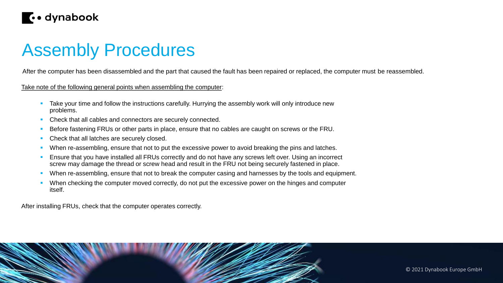

### Assembly Procedures

After the computer has been disassembled and the part that caused the fault has been repaired or replaced, the computer must be reassembled.

Take note of the following general points when assembling the computer:

- Take your time and follow the instructions carefully. Hurrying the assembly work will only introduce new problems.
- Check that all cables and connectors are securely connected.
- Before fastening FRUs or other parts in place, ensure that no cables are caught on screws or the FRU.
- Check that all latches are securely closed.
- When re-assembling, ensure that not to put the excessive power to avoid breaking the pins and latches.
- Ensure that you have installed all FRUs correctly and do not have any screws left over. Using an incorrect screw may damage the thread or screw head and result in the FRU not being securely fastened in place.
- When re-assembling, ensure that not to break the computer casing and harnesses by the tools and equipment.
- When checking the computer moved correctly, do not put the excessive power on the hinges and computer itself.

After installing FRUs, check that the computer operates correctly.



© 2021 Dynabook Europe GmbH